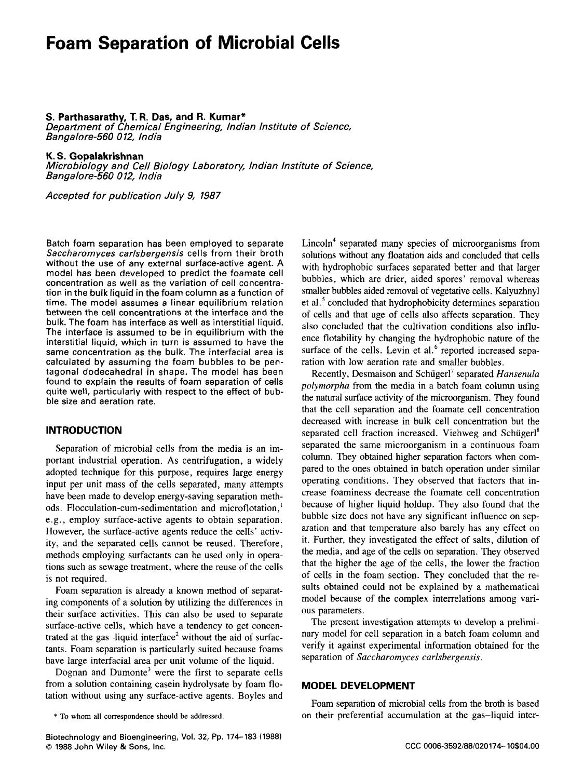# **Foam Separation of Microbial Cells**

### **S. Parthasarathy, T. R. Das, and R. Kumar\***

*Department of Chemical Engineering, Indian Institute of Science, Bangalore-560 0 12, India* 

### **K. S. Gopalakrishnan**

*Microbiology and Cell Biology Laboratory, Indian Institute of Science, Bangalore-560 0 12, India* 

*Accepted for publication July 9, 1987* 

Batch foam separation has been employed to separate **Saccharomyces carlsbergensis cells from their broth** without the use of any external surface-active agent. **A**  model has been developed to predict the foamate cell concentration as well as the variation of cell concentration in the bulk liquid in the foam column as a function of time. The model assumes a linear equilibrium relation between the cell concentrations at the interface and the bulk. The foam has interface as well as interstitial liquid. The interface is assumed to be in equilibrium with the interstitial liquid, which in turn is assumed to have the same concentration as the bulk. The interfacial area **is**  calculated **by** assuming the foam bubbles to be pentagonal dodecahedral in shape. The model has been found to explain the results of foam separation of cells quite well, particularly with respect to the effect of bubble size and aeration rate.

## **INTRODUCTION**

Separation of microbial cells from the media is an important industrial operation. **As** centrifugation, a widely adopted technique for this purpose, requires large energy input per unit mass of the cells separated, many attempts have been made to develop energy-saving separation methods. Flocculation-cum-sedimentation and microflotation,' e.g., employ surface-active agents to obtain separation. However, the surface-active agents reduce the cells' activity, and the separated cells cannot be reused. Therefore, methods employing surfactants can be used only in operations such as sewage treatment, where the reuse of the cells is not required.

Foam separation is already a known method of separating components of a solution by utilizing the differences in their surface activities. This can also be used to separate surface-active cells, which have a tendency to get concentrated at the gas-liquid interface<sup>2</sup> without the aid of surfactants. Foam separation is particularly suited because foams have large interfacial area per unit volume of the liquid.

Dognan and Dumonte<sup>3</sup> were the first to separate cells from a solution containing casein hydrolysate by foam flotation without using any surface-active agents. Boyles and  $Lin <sup>4</sup>$  separated many species of microorganisms from solutions without any floatation aids and concluded that cells with hydrophobic surfaces separated better and that larger bubbles, which are drier, aided spores' removal whereas smaller bubbles aided removal of vegetative cells. Kalyuzhnyl et al.<sup>5</sup> concluded that hydrophobicity determines separation of cells and that age of cells also affects separation. They also concluded that the cultivation conditions also influence flotability by changing the hydrophobic nature of the surface of the cells. Levin et al. $6$  reported increased separation with low aeration rate and smaller bubbles.

Recently, Desmaison and Schiiger17 separated *Hansenula polymorpha* from the media in a batch foam column using the natural surface activity of the microorganism. They found that the cell separation and the foamate cell concentration decreased with increase in bulk cell concentration but the separated cell fraction increased. Viehweg and Schügerl<sup>8</sup> separated the same microorganism in a continuous foam column. They obtained higher separation factors when compared to the ones obtained in batch operation under similar operating conditions. They observed that factors that increase foaminess decrease the foamate cell concentration because of higher liquid holdup. They also found that the bubble size does not have any significant influence on separation and that temperature also barely has any effect on it. Further, they investigated the effect of salts, dilution of the media, and age of the cells on separation. They observed that the higher the age of the cells, the lower the fraction of cells in the foam section. They concluded that the results obtained could not be explained by a mathematical model because of the complex interrelations among various parameters.

The present investigation attempts to develop a preliminary model for cell separation in a batch foam column and verify it against experimental information obtained for the separation of *Saccharomyces carlsbergensis.* 

### **MODEL DEVELOPMENT**

Foam separation of microbial cells from the broth is based on their preferential accumulation at the gas-liquid inter-

<sup>\*</sup> **To whom all correspondence should be addressed** 

Biotechnology and Bioengineering, Vol. 32, Pp. 174-183 (1988) *0* 1988 John Wiley & Sons, Inc.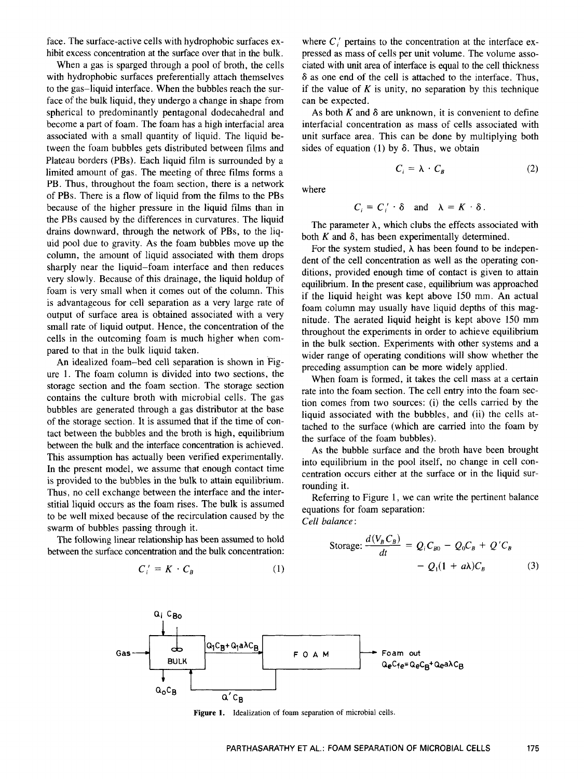face. The surface-active cells with hydrophobic surfaces exhibit excess concentration at the surface over that in the bulk.

When a gas is sparged through a pool of broth, the cells with hydrophobic surfaces preferentially attach themselves to the gas-liquid interface. When the bubbles reach the surface of the bulk liquid, they undergo a change in shape from spherical to predominantly pentagonal dodecahedra1 and become a part of foam. The foam has a high interfacial area associated with a small quantity of liquid. The liquid between the foam bubbles gets distributed between films and Plateau borders (PBs). Each liquid film is surrounded by a limited amount of gas. The meeting of three films forms a PB. Thus, throughout the foam section, there is a network of PBs. There is a flow of liquid from the films to the PBs because of the higher pressure in the liquid films than in the PBs caused by the differences in curvatures. The liquid drains downward, through the network of PBs, to the liquid pool due to gravity. As the foam bubbles move up the column, the amount of liquid associated with them drops sharply near the liquid-foam interface and then reduces very slowly. Because of this drainage, the liquid holdup of foam is very small when it comes out of the column. This is advantageous for cell separation as a very large rate of output of surface area is obtained associated with a very small rate of liquid output. Hence, the concentration of the cells in the outcoming foam is much higher when compared to that in the bulk liquid taken.

An idealized foam-bed cell separation is shown in Figure **1.** The foam column is divided into two sections, the storage section and the foam section. The storage section contains the culture broth with microbial cells. The gas bubbles are generated through a gas distributor at the base of the storage section. It is assumed that if the time of contact between the bubbles and the broth is high, equilibrium between the bulk and the interface concentration is achieved. This assumption has actually been verified experimentally. In the present model, we assume that enough contact time is provided to the bubbles in the bulk to attain equilibrium. Thus, no cell exchange between the interface and the interstitial liquid occurs as the foam rises. The bulk is assumed to be well mixed because of the recirculation caused by the swarm of bubbles passing through it.

The following linear relationship has been assumed to hold between the surface concentration and the bulk concentration:

$$
C_i' = K \cdot C_B \tag{1}
$$

where  $C'$  pertains to the concentration at the interface expressed as mass of cells per unit volume. The volume associated with unit area of interface is equal to the cell thickness  $\delta$  as one end of the cell is attached to the interface. Thus, if the value of  $K$  is unity, no separation by this technique can be expected.

As both  $K$  and  $\delta$  are unknown, it is convenient to define interfacial concentration as mass of cells associated with unit surface area. This can be done by multiplying both sides of equation (1) by  $\delta$ . Thus, we obtain

$$
C_i = \lambda \cdot C_B \tag{2}
$$

where

$$
C_i = C'_i \cdot \delta \quad \text{and} \quad \lambda = K \cdot \delta.
$$

The parameter  $\lambda$ , which clubs the effects associated with both  $K$  and  $\delta$ , has been experimentally determined.

For the system studied, **A** has been found to be independent of the cell concentration as well as the operating conditions, provided enough time of contact is given to attain equilibrium. In the present case, equilibrium was approached if the liquid height was kept above **150** mm. An actual foam column may usually have liquid depths of this magnitude. The aerated liquid height is kept above **150** mm throughout the experiments in order to achieve equilibrium in the bulk section. Experiments with other systems and a wider range of operating conditions will show whether the preceding assumption can be more widely applied.

When foam is formed, it takes the cell mass at a certain rate into the foam section. The cell entry into the foam section comes from two sources: (i) the cells carried by the liquid associated with the bubbles, and (ii) the cells attached to the surface (which are carried into the foam by the surface of the foam bubbles).

**As** the bubble surface and the broth have been brought into equilibrium in the pool itself, no change in cell concentration occurs either at the surface or in the liquid surrounding it.

Referring to Figure 1, we can write the pertinent balance equations for foam separation: *Cell balance* :

$$
\text{Storage: } \frac{d(V_B C_B)}{dt} = Q_i C_{B0} - Q_0 C_B + Q' C_B
$$

$$
- Q_1 (1 + a\lambda) C_B \tag{3}
$$



**Figure 1. Idealization** of **foam separation of microbial cells**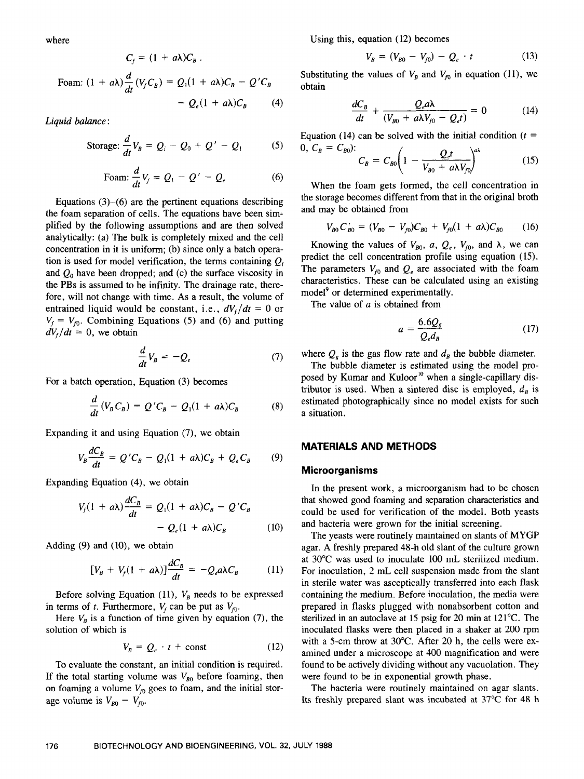where

$$
C_f = (1 + a\lambda)C_B.
$$
  
Foam:  $(1 + a\lambda) \frac{d}{dt} (V_f C_B) = Q_1 (1 + a\lambda) C_B - Q' C_B$   

$$
- Q_e (1 + a\lambda) C_B \qquad (4)
$$

*Cf* = (1 + *uA)CB* .

*Liquid balance* :

Storage: 
$$
\frac{d}{dt}V_B = Q_i - Q_0 + Q' - Q_1
$$
 (5)

Foam: 
$$
\frac{d}{dt}V_f = Q_1 - Q' - Q_e
$$
 (6)

Equations **(3)-(6)** are the pertinent equations describing the foam separation of cells. The equations have been simplified by the following assumptions and are then solved analytically: (a) The bulk is completely mixed and the cell concentration in it is uniform; (b) since only a batch operation is used for model verification, the terms containing  $Q_i$ and  $Q_0$  have been dropped; and (c) the surface viscosity in the PBs is assumed to be infinity. The drainage rate, therefore, will not change with time. As a result, the volume of entrained liquid would be constant, i.e.,  $dV_f/dt = 0$  or  $V_f = V_{f0}$ . Combining Equations (5) and (6) and putting  $dV_f/dt = 0$ , we obtain

$$
\frac{d}{dt}V_B = -Q_e \tag{7}
$$

For a batch operation, Equation (3) becomes

$$
\frac{d}{dt}(V_B C_B) = Q' C_B - Q_1 (1 + a\lambda)C_B \tag{8}
$$

Expanding it and using Equation (7), we obtain

$$
V_B \frac{dC_B}{dt} = Q'C_B - Q_1(1 + a\lambda)C_B + Q_eC_B \qquad (9)
$$

Expanding Equation (4), we obtain

$$
V_f(1 + a\lambda) \frac{dC_B}{dt} = Q_1(1 + a\lambda)C_B - Q'C_B
$$
  
- Q<sub>e</sub>(1 + a\lambda)C\_B (10)

Adding  $(9)$  and  $(10)$ , we obtain

$$
[V_B + V_f(1 + a\lambda)]\frac{dC_B}{dt} = -Q_e a\lambda C_B \qquad (11)
$$

Before solving Equation (11),  $V_B$  needs to be expressed in terms of *t*. Furthermore,  $V_f$  can be put as  $V_{f0}$ .

Here  $V_B$  is a function of time given by equation (7), the solution of which is

$$
V_B = Q_e \cdot t + \text{const} \tag{12}
$$

To evaluate the constant, an initial condition is required. If the total starting volume was  $V_{B0}$  before foaming, then on foaming a volume  $V_{p}$  goes to foam, and the initial storage volume is  $V_{B0} - V_{f0}$ .

Using this, equation (12) becomes

$$
V_B = (V_{B0} - V_{f0}) - Q_e \cdot t \tag{13}
$$

Substituting the values of  $V_B$  and  $V_{f0}$  in equation (11), we obtain

$$
\frac{dC_B}{dt} + \frac{Q_e a\lambda}{(V_{B0} + a\lambda V_{f0} - Q_e t)} = 0
$$
 (14)

Equation (14) can be solved with the initial condition  $(t =$ 0,  $C_R = C_{R0}$ :  $\sqrt{2}$ 

$$
C_B = C_{B0} \left( 1 - \frac{Q_c t}{V_{B0} + a\lambda V_{f0}} \right)^{a \lambda}
$$
 (15)

When the foam gets formed, the cell concentration in the storage becomes different from that in the original broth and may be obtained from

$$
V_{B0}C'_{B0} = (V_{B0} - V_{f0})C_{B0} + V_{f0}(1 + a\lambda)C_{B0}
$$
 (16)

Knowing the values of  $V_{B0}$ , *a*,  $Q_e$ ,  $V_{f0}$ , and  $\lambda$ , we can predict the cell concentration profile using equation (15). The parameters  $V_{f0}$  and  $Q_{\epsilon}$  are associated with the foam characteristics. These can be calculated using an existing model<sup>9</sup> or determined experimentally.

The value of  $a$  is obtained from

$$
a = \frac{6.6Q_s}{Q_e d_b} \tag{17}
$$

where  $Q<sub>g</sub>$  is the gas flow rate and  $d<sub>B</sub>$  the bubble diameter.

The bubble diameter is estimated using the model proposed by Kumar and Kuloor<sup>10</sup> when a single-capillary distributor is used. When a sintered disc is employed,  $d<sub>n</sub>$  is estimated photographically since no model exists for such a situation.

### **MATERIALS AND METHODS**

### **Microorganisms**

In the present work, a microorganism had to be chosen that showed good foaming and separation characteristics and could be used for verification of the model. Both yeasts and bacteria were grown for the initial screening.

The yeasts were routinely maintained on slants of MYGP agar. A freshly prepared 48-h old slant of the culture grown at 30°C was used to inoculate 100 mL sterilized medium. For inoculation, 2 mL cell suspension made from the slant in sterile water was asceptically transferred into each flask containing the medium. Before inoculation, the media were prepared in flasks plugged with nonabsorbent cotton and sterilized in an autoclave at 15 psig for 20 min at 121°C. The inoculated flasks were then placed in a shaker at 200 rpm with a 5-cm throw at 30°C. After 20 h, the cells were examined under a microscope at 400 magnification and were found to be actively dividing without any vacuolation. They were found to be in exponential growth phase.

The bacteria were routinely maintained on agar slants. Its freshly prepared slant **was** incubated at *37°C* for 48 h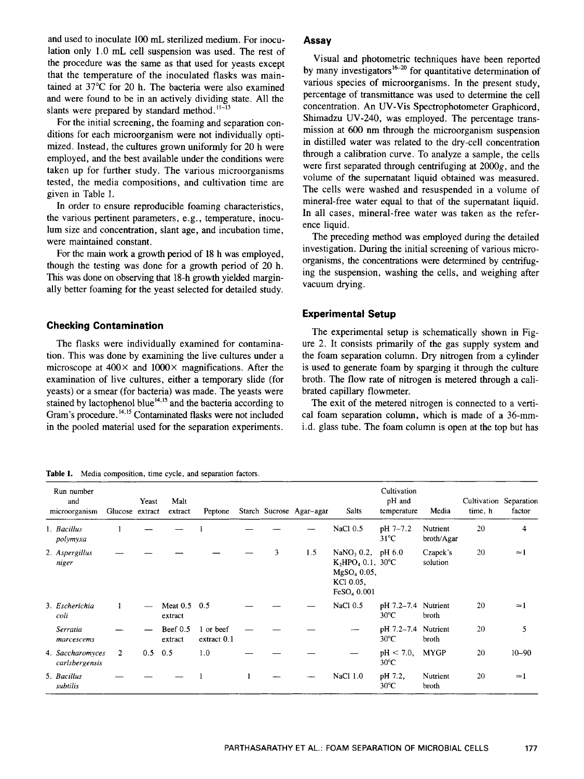and used to inoculate 100 mL sterilized medium. For inoculation only 1.0 mL cell suspension was used. The rest of the procedure was the same as that used for yeasts except that the temperature of the inoculated flasks was maintained at 37°C for 20 h. The bacteria were also examined and were found to be in an actively dividing state. All the slants were prepared by standard method.<sup>11-13</sup>

For the initial screening, the foaming and separation conditions for each microorganism were not individually optimized. Instead, the cultures grown uniformly for 20 h were employed, and the best available under the conditions were taken up for further study. The various microorganisms tested, the media compositions, and cultivation time are given in Table I.

In order to ensure reproducible foaming characteristics, the various pertinent parameters, e.g., temperature, inoculum size and concentration, slant age, and incubation time, were maintained constant.

For the main work a growth period of 18 h was employed, though the testing was done for a growth period of 20 h. This was done on observing that 18-h growth yielded marginally better foaming for the yeast selected for detailed study.

### **Checking Contamination**

The flasks were individually examined for contamination. This was done by examining the live cultures under a microscope at  $400 \times$  and  $1000 \times$  magnifications. After the examination of live cultures, either a temporary slide (for yeasts) or a smear (for bacteria) was made. The yeasts were stained by lactophenol blue<sup>14,15</sup> and the bacteria according to Gram's procedure. **I4,I5** Contaminated flasks were not included in the pooled material used for the separation experiments.

# **Table I.** Media composition, time cycle, and separation factors. **Run** number Cultivation

Visual and photometric techniques have been reported by many investigators<sup>16-20</sup> for quantitative determination of various species of microorganisms. In the present study, percentage of transmittance was used to determine the cell concentration. An UV-Vis Spectrophotometer Graphicord, Shimadzu UV-240, was employed. The percentage trans-

mission at 600 nm through the microorganism suspension in distilled water was related to the dry-cell concentration through a calibration curve. To analyze a sample, the cells were first separated through centrifuging at *2000g,* and the volume of the supernatant liquid obtained was measured. The cells were washed and resuspended in a volume of mineral-free water equal to that of the supernatant liquid. In all cases, mineral-free water was taken as the reference liquid.

The preceding method was employed during the detailed investigation. During the initial screening of various microorganisms, the concentrations were determined by centrifuging the suspension, washing the cells, and weighing after vacuum drying.

### **Experimental Setup**

**Assay** 

The experimental setup is schematically shown in Figure 2. It consists primarily of the gas supply system and the foam separation column. Dry nitrogen from a cylinder is used to generate foam by sparging it through the culture broth. The flow rate of nitrogen is metered through a calibrated capillary flowmeter.

The exit of the metered nitrogen is connected to a vertical foam separation column, which is made of a 36-mmi.d. glass tube. The foam column is open at the top but has

| Run number<br>and<br>microorganism | Glucose extract | Yeast | Malt<br>extract         | Peptone                      |   | Starch Sucrose Agar-agar | Salts                                                                                           | Cultivation<br>pH and<br>temperature | Media                  | Cultivation Separation<br>time, h | factor      |
|------------------------------------|-----------------|-------|-------------------------|------------------------------|---|--------------------------|-------------------------------------------------------------------------------------------------|--------------------------------------|------------------------|-----------------------------------|-------------|
| 1. Bacillus<br>polymyxa            |                 |       |                         |                              |   |                          | NaCl 0.5                                                                                        | $pH 7-7.2$<br>$31^{\circ}$ C         | Nutrient<br>broth/Agar | 20                                | 4           |
| 2. Aspergillus<br>niger            |                 |       |                         |                              | 3 | 1.5                      | $NaNO3 0.2$ ,<br>$K_2HPO_4$ 0.1, 30°C<br>$MgSO4 0.05$ ,<br>KCI 0.05.<br>FeSO <sub>4</sub> 0.001 | pH <sub>6.0</sub>                    | Czapek's<br>solution   | 20                                | $\simeq$ 1  |
| 3. Escherichia<br>coli             |                 |       | Meat 0.5 0.5<br>extract |                              |   |                          | <b>NaCl 0.5</b>                                                                                 | pH 7.2–7.4<br>30°C                   | Nutrient<br>broth      | 20                                | $\approx$ 1 |
| Serratia<br>marcescems             |                 |       | Beef $0.5$<br>extract   | 1 or beef<br>$ext{ract} 0.1$ |   |                          |                                                                                                 | pH 7.2-7.4<br>$30^{\circ}$ C         | Nutrient<br>broth      | 20                                | 5           |
| 4. Saccharomyces<br>carlsbergensis | 2               | 0.5   | 0.5                     | 1.0                          |   |                          |                                                                                                 | $pH < 7.0$ ,<br>$30^{\circ}$ C       | <b>MYGP</b>            | 20                                | $10 - 90$   |
| 5. Bacillus<br>subtilis            |                 |       |                         |                              |   |                          | NaCl 1.0                                                                                        | pH 7.2,<br>$30^{\circ}$ C            | Nutrient<br>broth      | 20                                | $\simeq$ 1  |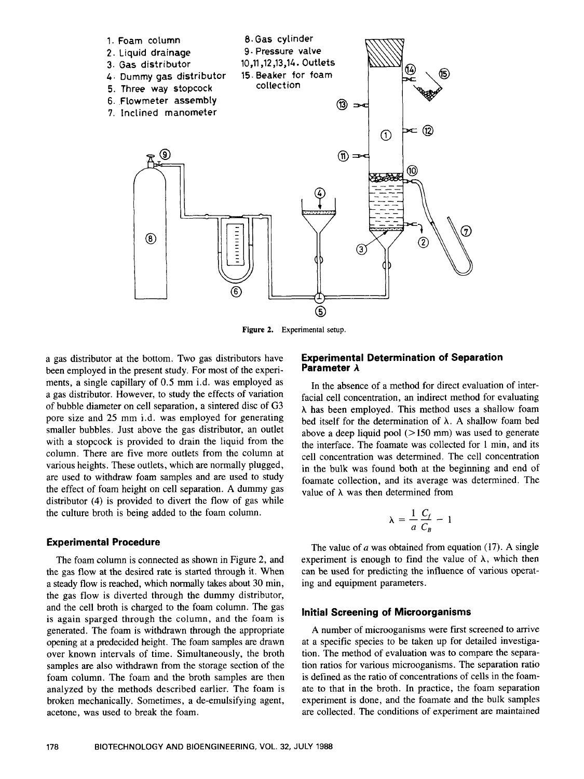

**Figure 2. Experimental setup** 

a gas distributor at the bottom. Two gas distributors have been employed in the present study. For most of the experiments, a single capillary of 0.5 mm i.d. was employed as a gas distributor. However, to study the effects of variation of bubble diameter on cell separation, a sintered disc of G3 pore size and *25* mm i.d. was employed for generating smaller bubbles. Just above the gas distributor, an outlet with a stopcock is provided to drain the liquid from the column. There are five more outlets from the column at various heights. These outlets, which are normally plugged, are used to withdraw foam samples and are used to study the effect of foam height on cell separation. **A** dummy gas distributor **(4)** is provided to divert the flow of gas while the culture broth is being added to the foam column.

### **Experimental Procedure**

The foam column is connected as shown in Figure **2,** and the gas flow at the desired rate is started through it. When a steady flow is reached, which normally takes about 30 min, the gas flow is diverted through the dummy distributor, and the cell broth is charged to the foam column. The gas is again sparged through the column, and the foam is generated. The foam is withdrawn through the appropriate opening at a predecided height. The foam samples are drawn over known intervals of time. Simultaneously, the broth samples are also withdrawn from the storage section of the foam column. The foam and the broth samples are then analyzed by the methods described earlier. The foam is broken mechanically. Sometimes, a de-emulsifying agent, acetone, was used to break the foam.

### **Experimental Determination of Separation Parameter** *h*

In the absence of a method for direct evaluation of interfacial cell concentration, an indirect method for evaluating  $\lambda$  has been employed. This method uses a shallow foam bed itself for the determination of A. **A** shallow foam bed above a deep liquid pool  $(>150 \text{ mm})$  was used to generate the interface. The foamate was collected for 1 min, and its cell concentration was determined. The cell concentration in the bulk was found both at the beginning and end of foamate collection, and its average was determined. The value of  $\lambda$  was then determined from

$$
\lambda = \frac{1}{a} \frac{C_f}{C_B} - 1
$$

The value of *a* was obtained from equation **(17). A** single experiment is enough to find the value of  $\lambda$ , which then can be used for predicting the influence of various operating and equipment parameters.

### **Initial Screening of Microorganisms**

**A** number of microoganisms were first screened to arrive at a specific species to be taken up for detailed investigation. The method of evaluation was to compare the separation ratios for various microoganisms. The separation ratio is defined as the ratio of concentrations of cells in the foamate to that in the broth. In practice, the foam separation experiment is done, and the foamate and the bulk samples are collected. The conditions of experiment are maintained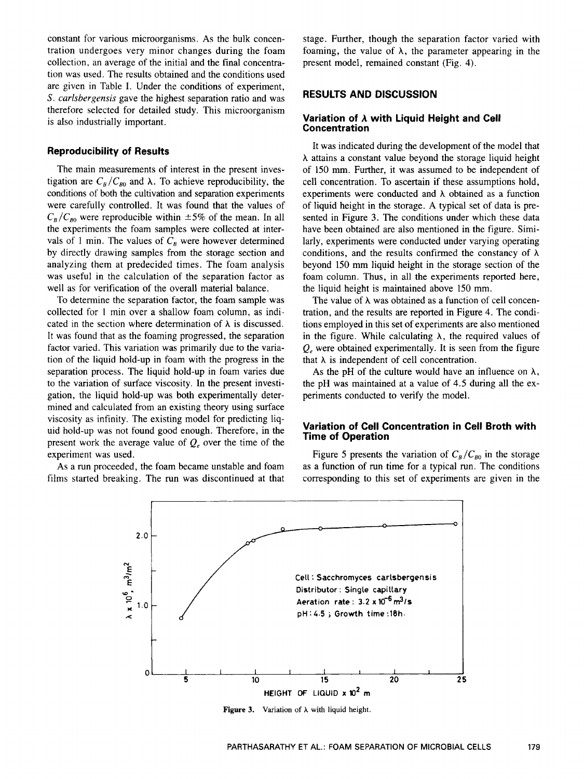constant for various microorganisms. **As** the bulk concentration undergoes very minor changes during the foam collection, an average of the initial and the final concentration was used. The results obtained and the conditions used are given in Table I. Under the conditions of experiment, S. *carlsbergensis* gave the highest separation ratio and was therefore selected for detailed study. This microorganism is also industrially important.

### **Reproducibility of Results**

The main measurements of interest in the present investigation are  $C_R/C_{R0}$  and  $\lambda$ . To achieve reproducibility, the conditions of both the cultivation and separation experiments were carefully controlled. It was found that the values of  $C_B/C_{B0}$  were reproducible within  $\pm 5\%$  of the mean. In all the experiments the foam samples were collected at intervals of 1 min. The values of  $C_R$  were however determined by directly drawing samples from the storage section and analyzing them at predecided times. The foam analysis was useful in the calculation of the separation factor as well as for verification of the overall material balance.

To determine the separation factor, the foam sample was collected for 1 min over a shallow foam column, as indicated in the section where determination of  $\lambda$  is discussed. It was found that as the foaming progressed, the separation factor varied. This variation was primarily due to the variation of the liquid hold-up in foam with the progress in the separation process. The liquid hold-up in foam varies due to the variation of surface viscosity. In the present investigation, the liquid hold-up was both experimentally determined and calculated from an existing theory using surface viscosity as infinity. The existing model for predicting liquid hold-up was not found good enough. Therefore, in the present work the average value of  $Q_e$  over the time of the experiment was used.

**As** a run proceeded, the foam became unstable and foam films started breaking. The run was discontinued at that

stage. Further, though the separation factor varied with foaming, the value of  $\lambda$ , the parameter appearing in the present model, remained constant (Fig. 4).

### **RESULTS AND DISCUSSION**

### **Variation of A with Liquid Height and Cell Concentration**

It was indicated during the development of the model that A attains a constant value beyond the storage liquid height of 150 mm. Further, it was assumed to be independent of cell concentration. To ascertain if these assumptions hold, experiments were conducted and  $\lambda$  obtained as a function of liquid height in the storage. **A** typical set of data is presented in Figure **3.** The conditions under which these data have been obtained are also mentioned in the figure. Similarly, experiments were conducted under varying operating conditions, and the results confirmed the constancy of  $\lambda$ beyond 150 mm liquid height in the storage section of the foam column. Thus, in all the experiments reported here, the liquid height is maintained above 150 mm.

The value of  $\lambda$  was obtained as a function of cell concentration, and the results are reported in Figure 4. The conditions employed in this set of experiments are also mentioned in the figure. While calculating  $\lambda$ , the required values of  $Q<sub>e</sub>$  were obtained experimentally. It is seen from the figure that  $\lambda$  is independent of cell concentration.

As the pH of the culture would have an influence on  $\lambda$ , the pH was maintained at a value of 4.5 during all the experiments conducted to verify the model.

### **Variation of Cell Concentration in Cell Broth with Time of Operation**

Figure 5 presents the variation of  $C_B/C_{B0}$  in the storage as a function of run time for a typical run. The conditions corresponding to this set of experiments are given in the



**Figure 3. Variation of A with liquid height.**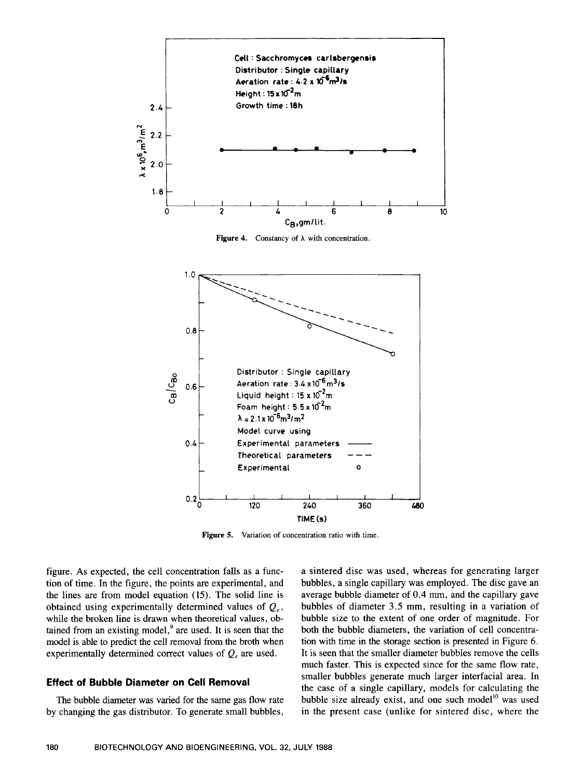

Figure 5. Variation of concentration ratio with time.

figure. **As** expected, the cell concentration falls as a function of time. In the figure, the points are experimental, and the lines are from model equation (15). The solid line is obtained using experimentally determined values of *Q,* , while the broken line is drawn when theoretical values, obtained from an existing model, $9$  are used. It is seen that the model is able to predict the cell removal from the broth when experimentally determined correct values of *Q,* are used.

### **Effect of Bubble Diameter on Cell Removal**

The bubble diameter was varied for the same gas flow rate by changing the gas distributor. To generate small bubbles,

a sintered disc was used, whereas for generating larger bubbles, a single capillary was employed. The disc gave an average bubble diameter of 0.4 mm, and the capillary gave bubbles of diameter 3.5 mm, resulting in a variation of bubble size to the extent of one order of magnitude. For both the bubble diameters, the variation of cell concentration with time in the storage section is presented in Figure **6.**  It is seen that the smaller diameter bubbles remove the cells much faster. This is expected since for the same flow rate, smaller bubbles generate much larger interfacial area. In the case of a single capillary, models for calculating the bubble size already exist, and one such model<sup>10</sup> was used in the present case (unlike for sintered disc, where the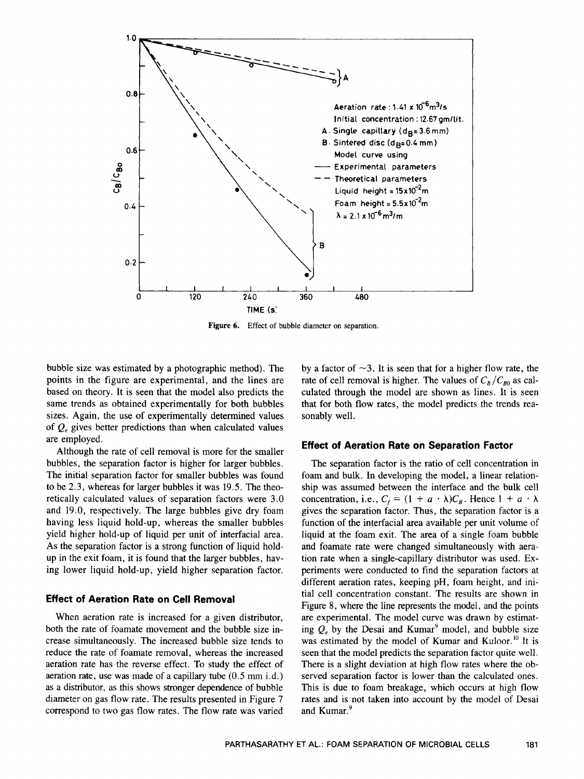

**Figure** *6.* **Effect of bubbte diameter on separation.** 

bubble size was estimated by a photographic method). The points in the figure are experimental, and the lines are based on theory. It is seen that the model also predicts the same trends as obtained experimentally for both bubbles sizes. Again, the use of experimentally determined values of *Q,* gives better predictions than when calculated values are employed.

Although the rate of cell removal is more for the smaller bubbles, the separation factor is higher for larger bubbles. The initial separation factor for smaller bubbles was found to be 2.3, whereas for larger bubbles it was 19.5. The theoretically calculated values of separation factors were **3** .O and 19.0, respectively. The large bubbles give dry foam having less liquid hold-up, whereas the smaller bubbles yield higher hold-up of liquid per unit of interfacial area. As the separation factor is a strong function of liquid holdup in the exit foam, it is found that the larger bubbles, having lower liquid hold-up, yield higher separation factor.

### **Effect of Aeration Rate on Cell Removal**

When aeration rate is increased for a given distributor, both the rate of foamate movement and the bubble size increase simultaneously. The increased bubble size tends to reduce the rate of foamate removal, whereas the increased aeration rate has the reverse effect. To study the effect of aeration rate, use was made of a capillary tube (0.5 mm i.d.) as a distributor, as this shows stronger dependence of bubble diameter on gas flow rate. The results presented in Figure 7 correspond to two gas flow rates. The flow rate was varied

by a factor of  $\sim$ 3. It is seen that for a higher flow rate, the rate of cell removal is higher. The values of  $C_B/C_{B0}$  as calculated through the model are shown as lines. It is seen that for both flow rates, the model predicts the trends reasonably well.

### **Effect of Aeration Rate on Separation Factor**

The separation factor is the ratio of cell concentration in foam and bulk. In developing the model, a linear relationship was assumed between the interface and the bulk cell concentration, i.e.,  $C_f = (1 + a \cdot \lambda)C_B$ . Hence  $1 + a \cdot \lambda$ gives the separation factor. Thus, the separation factor is a function of the interfacial area available per unit volume of liquid at the foam exit. The area of a single foam bubble and foamate rate were changed simultaneously with aeration rate when a single-capillary distributor was used. Experiments were conducted to find the separation factors at different aeration rates, keeping pH, foam height, and initial cell concentration constant. The results are shown in Figure **8,** where the line represents the model, and the points are experimental. The model curve was drawn by estimating  $Q_e$  by the Desai and Kumar<sup>9</sup> model, and bubble size was estimated by the model of Kumar and Kuloor.<sup>10</sup> It is seen that the model predicts the separation factor quite well. There is a slight deviation at high flow rates where the observed separation factor is lower than the calculated ones. This is due to foam breakage, which occurs at high flow rates and is not taken into account by the model of Desai and Kumar.'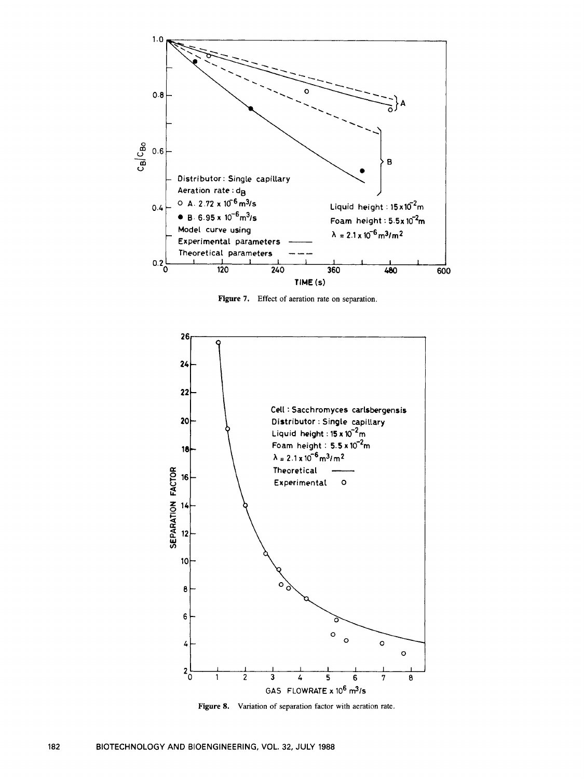

**Figure 7. Effect of aeration rate on separation.** 



**Figure** *8.* **Variation of separation factor with aeration rate.**